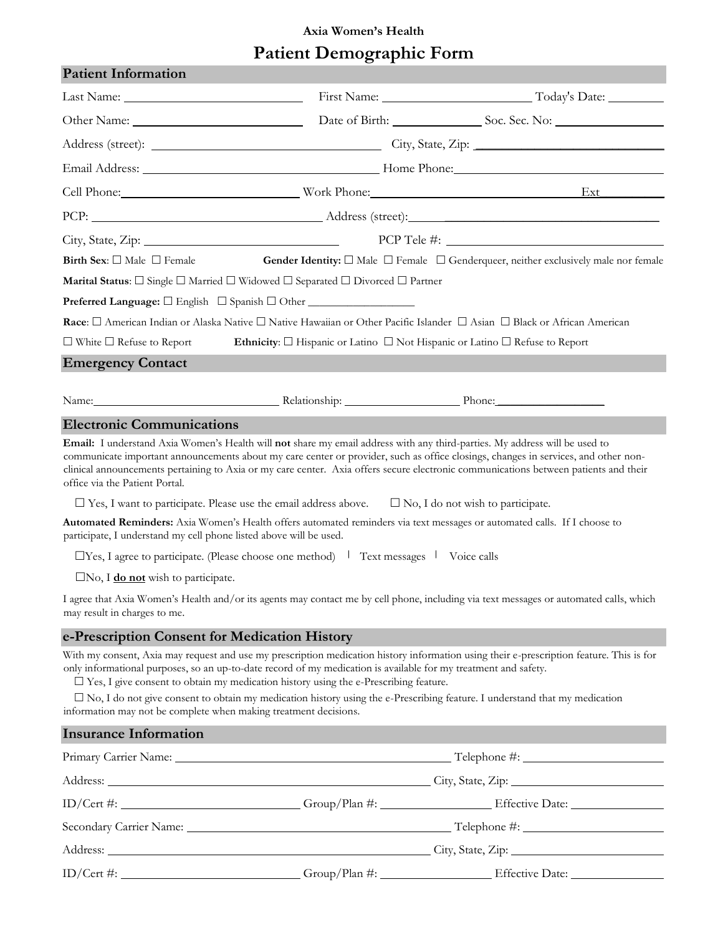## **Axia Women's Health Patient Demographic Form**

| <b>Patient Information</b>                                                                                                                                                                                                                                                                                   |                                                                                                                                                                                                                                                                                                                                                                                                                                                                                                                                                                                                                                                                                                                                                                                                                                                          |                                                                                                                                                                                                                                                                                                                                                                                                                            |
|--------------------------------------------------------------------------------------------------------------------------------------------------------------------------------------------------------------------------------------------------------------------------------------------------------------|----------------------------------------------------------------------------------------------------------------------------------------------------------------------------------------------------------------------------------------------------------------------------------------------------------------------------------------------------------------------------------------------------------------------------------------------------------------------------------------------------------------------------------------------------------------------------------------------------------------------------------------------------------------------------------------------------------------------------------------------------------------------------------------------------------------------------------------------------------|----------------------------------------------------------------------------------------------------------------------------------------------------------------------------------------------------------------------------------------------------------------------------------------------------------------------------------------------------------------------------------------------------------------------------|
|                                                                                                                                                                                                                                                                                                              |                                                                                                                                                                                                                                                                                                                                                                                                                                                                                                                                                                                                                                                                                                                                                                                                                                                          |                                                                                                                                                                                                                                                                                                                                                                                                                            |
|                                                                                                                                                                                                                                                                                                              |                                                                                                                                                                                                                                                                                                                                                                                                                                                                                                                                                                                                                                                                                                                                                                                                                                                          |                                                                                                                                                                                                                                                                                                                                                                                                                            |
|                                                                                                                                                                                                                                                                                                              |                                                                                                                                                                                                                                                                                                                                                                                                                                                                                                                                                                                                                                                                                                                                                                                                                                                          |                                                                                                                                                                                                                                                                                                                                                                                                                            |
|                                                                                                                                                                                                                                                                                                              |                                                                                                                                                                                                                                                                                                                                                                                                                                                                                                                                                                                                                                                                                                                                                                                                                                                          |                                                                                                                                                                                                                                                                                                                                                                                                                            |
|                                                                                                                                                                                                                                                                                                              |                                                                                                                                                                                                                                                                                                                                                                                                                                                                                                                                                                                                                                                                                                                                                                                                                                                          | Cell Phone: Ext Ext                                                                                                                                                                                                                                                                                                                                                                                                        |
|                                                                                                                                                                                                                                                                                                              |                                                                                                                                                                                                                                                                                                                                                                                                                                                                                                                                                                                                                                                                                                                                                                                                                                                          |                                                                                                                                                                                                                                                                                                                                                                                                                            |
|                                                                                                                                                                                                                                                                                                              | PCP Tele #:                                                                                                                                                                                                                                                                                                                                                                                                                                                                                                                                                                                                                                                                                                                                                                                                                                              |                                                                                                                                                                                                                                                                                                                                                                                                                            |
| Birth Sex: $\square$ Male $\square$ Female                                                                                                                                                                                                                                                                   |                                                                                                                                                                                                                                                                                                                                                                                                                                                                                                                                                                                                                                                                                                                                                                                                                                                          | Gender Identity: $\square$ Male $\square$ Female $\square$ Genderqueer, neither exclusively male nor female                                                                                                                                                                                                                                                                                                                |
|                                                                                                                                                                                                                                                                                                              | <b>Marital Status:</b> $\Box$ Single $\Box$ Married $\Box$ Widowed $\Box$ Separated $\Box$ Divorced $\Box$ Partner                                                                                                                                                                                                                                                                                                                                                                                                                                                                                                                                                                                                                                                                                                                                       |                                                                                                                                                                                                                                                                                                                                                                                                                            |
|                                                                                                                                                                                                                                                                                                              | Preferred Language: □ English □ Spanish □ Other _________________                                                                                                                                                                                                                                                                                                                                                                                                                                                                                                                                                                                                                                                                                                                                                                                        |                                                                                                                                                                                                                                                                                                                                                                                                                            |
|                                                                                                                                                                                                                                                                                                              | Race: □ American Indian or Alaska Native □ Native Hawaiian or Other Pacific Islander □ Asian □ Black or African American                                                                                                                                                                                                                                                                                                                                                                                                                                                                                                                                                                                                                                                                                                                                 |                                                                                                                                                                                                                                                                                                                                                                                                                            |
| $\Box$ White $\Box$ Refuse to Report                                                                                                                                                                                                                                                                         | Ethnicity: $\Box$ Hispanic or Latino $\Box$ Not Hispanic or Latino $\Box$ Refuse to Report                                                                                                                                                                                                                                                                                                                                                                                                                                                                                                                                                                                                                                                                                                                                                               |                                                                                                                                                                                                                                                                                                                                                                                                                            |
| <b>Emergency Contact</b>                                                                                                                                                                                                                                                                                     |                                                                                                                                                                                                                                                                                                                                                                                                                                                                                                                                                                                                                                                                                                                                                                                                                                                          |                                                                                                                                                                                                                                                                                                                                                                                                                            |
|                                                                                                                                                                                                                                                                                                              | Name: Relationship: Phone: Phone: Phone: Phone: Phone: Phone: Phone: Phone: Phone: Phone: Phone: Phone: Phone: Phone: Phone: Phone: Phone: Phone: Phone: Phone: Phone: Phone: Phone: Phone: Phone: Phone: Phone: Phone: Phone:                                                                                                                                                                                                                                                                                                                                                                                                                                                                                                                                                                                                                           |                                                                                                                                                                                                                                                                                                                                                                                                                            |
| <b>Electronic Communications</b>                                                                                                                                                                                                                                                                             |                                                                                                                                                                                                                                                                                                                                                                                                                                                                                                                                                                                                                                                                                                                                                                                                                                                          |                                                                                                                                                                                                                                                                                                                                                                                                                            |
| office via the Patient Portal.<br>participate, I understand my cell phone listed above will be used.<br>$\Box$ No, I <b>do not</b> wish to participate.<br>may result in charges to me.<br>e-Prescription Consent for Medication History<br>information may not be complete when making treatment decisions. | communicate important announcements about my care center or provider, such as office closings, changes in services, and other non-<br>$\Box$ Yes, I want to participate. Please use the email address above. $\Box$ No, I do not wish to participate.<br>Automated Reminders: Axia Women's Health offers automated reminders via text messages or automated calls. If I choose to<br>$\Box$ Yes, I agree to participate. (Please choose one method) $\Box$ Text messages $\Box$ Voice calls<br>only informational purposes, so an up-to-date record of my medication is available for my treatment and safety.<br>$\square$ Yes, I give consent to obtain my medication history using the e-Prescribing feature.<br>$\square$ No, I do not give consent to obtain my medication history using the e-Prescribing feature. I understand that my medication | clinical announcements pertaining to Axia or my care center. Axia offers secure electronic communications between patients and their<br>I agree that Axia Women's Health and/or its agents may contact me by cell phone, including via text messages or automated calls, which<br>With my consent, Axia may request and use my prescription medication history information using their e-prescription feature. This is for |
| <b>Insurance Information</b>                                                                                                                                                                                                                                                                                 |                                                                                                                                                                                                                                                                                                                                                                                                                                                                                                                                                                                                                                                                                                                                                                                                                                                          |                                                                                                                                                                                                                                                                                                                                                                                                                            |
|                                                                                                                                                                                                                                                                                                              |                                                                                                                                                                                                                                                                                                                                                                                                                                                                                                                                                                                                                                                                                                                                                                                                                                                          |                                                                                                                                                                                                                                                                                                                                                                                                                            |
|                                                                                                                                                                                                                                                                                                              | Address: City, State, Zip: City, State, Zip:                                                                                                                                                                                                                                                                                                                                                                                                                                                                                                                                                                                                                                                                                                                                                                                                             |                                                                                                                                                                                                                                                                                                                                                                                                                            |
|                                                                                                                                                                                                                                                                                                              |                                                                                                                                                                                                                                                                                                                                                                                                                                                                                                                                                                                                                                                                                                                                                                                                                                                          | ID/Cert #: ____________________________Group/Plan #: _____________________Effective Date: ____________________                                                                                                                                                                                                                                                                                                             |
|                                                                                                                                                                                                                                                                                                              |                                                                                                                                                                                                                                                                                                                                                                                                                                                                                                                                                                                                                                                                                                                                                                                                                                                          |                                                                                                                                                                                                                                                                                                                                                                                                                            |
|                                                                                                                                                                                                                                                                                                              |                                                                                                                                                                                                                                                                                                                                                                                                                                                                                                                                                                                                                                                                                                                                                                                                                                                          |                                                                                                                                                                                                                                                                                                                                                                                                                            |
|                                                                                                                                                                                                                                                                                                              |                                                                                                                                                                                                                                                                                                                                                                                                                                                                                                                                                                                                                                                                                                                                                                                                                                                          |                                                                                                                                                                                                                                                                                                                                                                                                                            |
|                                                                                                                                                                                                                                                                                                              |                                                                                                                                                                                                                                                                                                                                                                                                                                                                                                                                                                                                                                                                                                                                                                                                                                                          |                                                                                                                                                                                                                                                                                                                                                                                                                            |